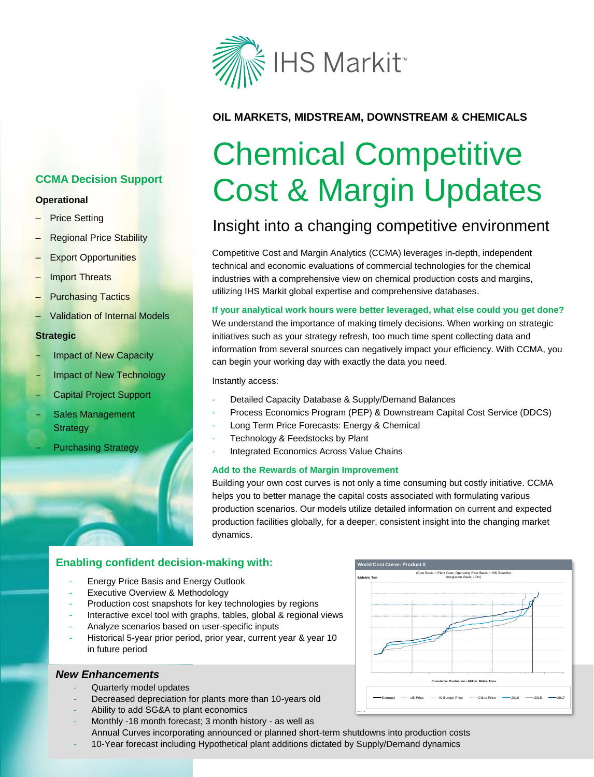

### **OIL MARKETS, MIDSTREAM, DOWNSTREAM & CHEMICALS**

# Chemical Competitive Cost & Margin Updates

# Insight into a changing competitive environment

Competitive Cost and Margin Analytics (CCMA) leverages in-depth, independent technical and economic evaluations of commercial technologies for the chemical industries with a comprehensive view on chemical production costs and margins, utilizing IHS Markit global expertise and comprehensive databases.

**If your analytical work hours were better leveraged, what else could you get done?** We understand the importance of making timely decisions. When working on strategic initiatives such as your strategy refresh, too much time spent collecting data and information from several sources can negatively impact your efficiency. With CCMA, you can begin your working day with exactly the data you need.

Instantly access:

- Detailed Capacity Database & Supply/Demand Balances
- Process Economics Program (PEP) & Downstream Capital Cost Service (DDCS)
- Long Term Price Forecasts: Energy & Chemical
- Technology & Feedstocks by Plant
- Integrated Economics Across Value Chains

#### **Add to the Rewards of Margin Improvement**

Building your own cost curves is not only a time consuming but costly initiative. CCMA helps you to better manage the capital costs associated with formulating various production scenarios. Our models utilize detailed information on current and expected production facilities globally, for a deeper, consistent insight into the changing market dynamics.

#### **Enabling confident decision-making with:**

- Energy Price Basis and Energy Outlook
- Executive Overview & Methodology
- **Production cost snapshots for key technologies by regions**
- Interactive excel tool with graphs, tables, global & regional views
- **Plant Chant Controls Assed on user-specific inputs plants**
- Historical 5-year prior period, prior year, current year & year 10 in future period

#### *New Enhancements*

- Quarterly model updates
- Decreased depreciation for plants more than 10-years old
- Ability to add SG&A to plant economics
- Monthly -18 month forecast; 3 month history as well as

Annual Curves incorporating announced or planned short-term shutdowns into production costs

- 10-Year forecast including Hypothetical plant additions dictated by Supply/Demand dynamics



## **CCMA Decision Support**

#### **Operational**

- **Price Setting**
- Regional Price Stability
- **Export Opportunities**
- **Import Threats**
- Purchasing Tactics
- Validation of Internal Models

#### **Strategic**

- Impact of New Capacity
- Impact of New Technology
- Capital Project Support
- Sales Management **Strategy** 
	- **Purchasing Strategy**